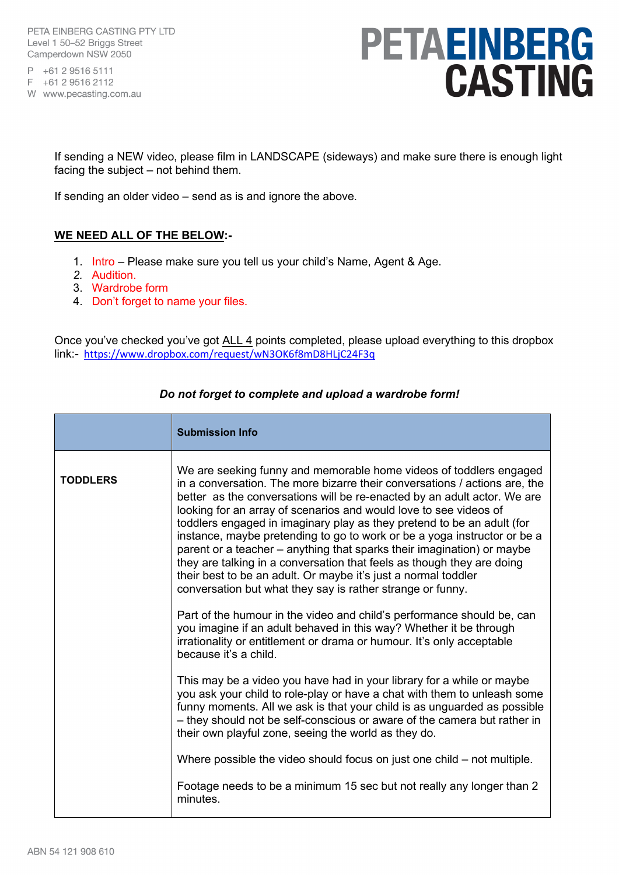PETA EINBERG CASTING PTY LTD Level 1 50-52 Briggs Street Camperdown NSW 2050

P +61 2 9516 5111 F +61 2 9516 2112

W www.pecasting.com.au

## PETAEINBERG **CASTING**

If sending a NEW video, please film in LANDSCAPE (sideways) and make sure there is enough light facing the subject – not behind them.

If sending an older video – send as is and ignore the above.

### **WE NEED ALL OF THE BELOW:-**

- 1. Intro Please make sure you tell us your child's Name, Agent & Age.
- *2.* Audition.
- 3. Wardrobe form
- 4. Don't forget to name your files.

Once you've checked you've got ALL 4 points completed, please upload everything to this dropbox link:- <https://www.dropbox.com/request/wN3OK6f8mD8HLjC24F3q>

|                 | <b>Submission Info</b>                                                                                                                                                                                                                                                                                                                                                                                                                                                                                                                                                                                                                                                                                                                      |
|-----------------|---------------------------------------------------------------------------------------------------------------------------------------------------------------------------------------------------------------------------------------------------------------------------------------------------------------------------------------------------------------------------------------------------------------------------------------------------------------------------------------------------------------------------------------------------------------------------------------------------------------------------------------------------------------------------------------------------------------------------------------------|
| <b>TODDLERS</b> | We are seeking funny and memorable home videos of toddlers engaged<br>in a conversation. The more bizarre their conversations / actions are, the<br>better as the conversations will be re-enacted by an adult actor. We are<br>looking for an array of scenarios and would love to see videos of<br>toddlers engaged in imaginary play as they pretend to be an adult (for<br>instance, maybe pretending to go to work or be a yoga instructor or be a<br>parent or a teacher – anything that sparks their imagination) or maybe<br>they are talking in a conversation that feels as though they are doing<br>their best to be an adult. Or maybe it's just a normal toddler<br>conversation but what they say is rather strange or funny. |
|                 | Part of the humour in the video and child's performance should be, can<br>you imagine if an adult behaved in this way? Whether it be through<br>irrationality or entitlement or drama or humour. It's only acceptable<br>because it's a child.                                                                                                                                                                                                                                                                                                                                                                                                                                                                                              |
|                 | This may be a video you have had in your library for a while or maybe<br>you ask your child to role-play or have a chat with them to unleash some<br>funny moments. All we ask is that your child is as unguarded as possible<br>- they should not be self-conscious or aware of the camera but rather in<br>their own playful zone, seeing the world as they do.                                                                                                                                                                                                                                                                                                                                                                           |
|                 | Where possible the video should focus on just one child – not multiple.                                                                                                                                                                                                                                                                                                                                                                                                                                                                                                                                                                                                                                                                     |
|                 | Footage needs to be a minimum 15 sec but not really any longer than 2<br>minutes.                                                                                                                                                                                                                                                                                                                                                                                                                                                                                                                                                                                                                                                           |

#### *Do not forget to complete and upload a wardrobe form!*